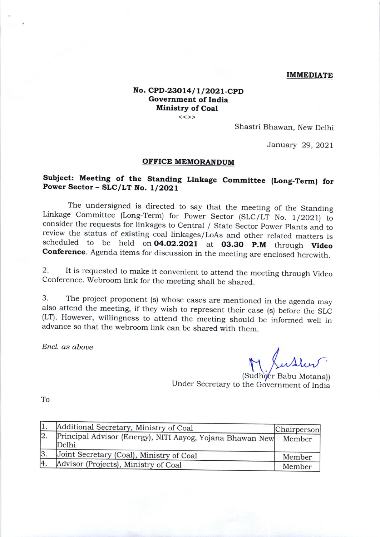## IMMEDIATE

## No. CPD-23014/1/2021-CPD Government of India **Ministry of Coal**

 $<<$ >>

Shastri Bhawan, New Delhi

January 29,2O2l

## OFFICE MEMORANDUM

## Subject: Meeting of the Standing Linkage Committee (Long-Term) for Power Sector - SLC/LT No. 1/2021

The undersigned is directed to say that the meeting of the Standing<br>Linkage Committee (Long-Term) for Power Sector (SLC/LT No. 1/2021) to<br>consider the requests for linkages to Central / State Sector Power Plants and to<br>rev

2. It is requested to make it convenient to attend the meeting through Video Conference. Webroom link for the meeting shall be shared.

3. The project proponent (s) whose cases are mentioned in the agenda may (LT). However, willingness to attend the meeting should be informed well in advance so that the webroom link can be shared with them.

Encl. as aboue

(Sudheer Babu Motana)) Under Secretary to the Government of India

To

|    | Additional Secretary, Ministry of Coal                             | Chairperson |
|----|--------------------------------------------------------------------|-------------|
| 2. | Principal Advisor (Energy), NITI Aayog, Yojana Bhawan New<br>Delhi | Member      |
| 3. | Joint Secretary (Coal), Ministry of Coal                           | Member      |
| 4. | Advisor (Projects), Ministry of Coal                               | Member      |